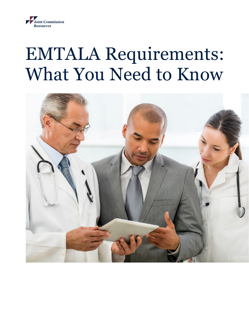

# EMTALA Requirements: What You Need to Know

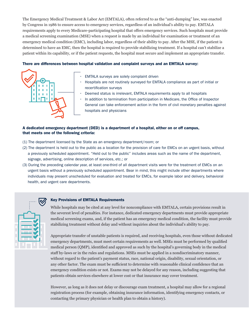The Emergency Medical Treatment & Labor Act (EMTALA), often referred to as the "anti-dumping" law, was enacted by Congress in 1986 to ensure access to emergency services, regardless of an individual's ability to pay. EMTALA requirements apply to every Medicare-participating hospital that offers emergency services. Such hospitals must provide a medical screening examination (MSE) when a request is made by an individual for examination or treatment of an emergency medical condition (EMC), including labor, regardless of their ability to pay. After the MSE, if the patient is determined to have an EMC, then the hospital is required to provide stabilizing treatment. If a hospital can't stabilize a patient within its capability, or if the patient requests, the hospital must secure and implement an appropriate transfer.

## There are differences between hospital validation and complaint surveys and an EMTALA survey:



- EMTALA surveys are solely complaint driven
- Hospitals are not routinely surveyed for EMTALA compliance as part of initial or recertification surveys
- Deemed status is irrelevant, EMTALA requirements apply to all hospitals
- In addition to termination from participation in Medicare, the Office of Inspector General can take enforcement action in the form of civil monetary penalties against hospitals and physicians

# A dedicated emergency department (DED) is a department of a hospital, either on or off campus, that meets one of the following criteria:

- (1) The department licensed by the State as an emergency department/room; or
- (2) The department is held out to the public as a location for the provision of care for EMCs on an urgent basis, without a previously scheduled appointment. "Held out to the public" includes areas such as the name of the department, signage, advertising, online description of services, etc.; or
- (3) During the preceding calendar year, at least one-third of all department visits were for the treatment of EMCs on an urgent basis without a previously scheduled appointment. Bear in mind, this might include other departments where individuals may present unscheduled for evaluation and treated for EMCs, for example labor and delivery, behavioral health, and urgent care departments.



# Key Provisions of EMTALA Requirements

While hospitals may be cited at any level for noncompliance with EMTALA, certain provisions result in the severest level of penalties. For instance, dedicated emergency departments must provide appropriate medical screening exams, and, if the patient has an emergency medical condition, the facility must provide stabilizing treatment without delay and without inquiries about the individual's ability to pay.

Appropriate transfer of unstable patients is required, and receiving hospitals, even those without dedicated emergency departments, must meet certain requirements as well. MSEs must be performed by qualified medical person (QMP), identified and approved as such by the hospital's governing body in the medical staff by-laws or in the rules and regulations. MSEs must be applied in a nondiscriminatory manner, without regard to the patient's payment status, race, national origin, disability, sexual orientation, or any other factor. The exam must be sufficient to determine with reasonable clinical confidence that an emergency condition exists or not. Exams may not be delayed for any reason, including suggesting that patients obtain services elsewhere at lower cost or that insurance may cover treatment.

However, as long as it does not delay or discourage exam treatment, a hospital may allow for a regional registration process (for example, obtaining insurance information, identifying emergency contacts, or contacting the primary physician or health plan to obtain a history).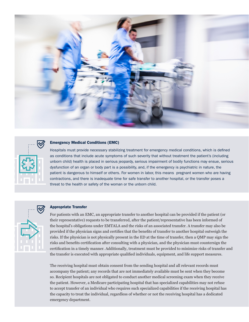



#### Emergency Medical Conditions (EMC)

Hospitals must provide necessary stabilizing treatment for emergency medical conditions, which is defined as conditions that include acute symptoms of such severity that without treatment the patient's (including unborn child) health is placed in serious jeopardy, serious impairment of bodily functions may ensue, serious dysfunction of an organ or body part is a possibility, and, if the emergency is psychiatric in nature, the patient is dangerous to himself or others. For women in labor, this means pregnant women who are having contractions, and there is inadequate time for safe transfer to another hospital, or the transfer poses a threat to the health or safety of the woman or the unborn child.



#### Appropriate Transfer

For patients with an EMC, an appropriate transfer to another hospital can be provided if the patient (or their representative) requests to be transferred, after the patient/representative has been informed of the hospital's obligations under EMTALA and the risks of an associated transfer. A transfer may also be provided if the physician signs and certifies that the benefits of transfer to another hospital outweigh the risks. If the physician is not physically present in the ED at the time of transfer, then a QMP may sign the risks and benefits certification after consulting with a physician, and the physician must countersign the certification in a timely manner. Additionally, treatment must be provided to minimize risks of transfer and the transfer is executed with appropriate qualified individuals, equipment, and life support measures.

The receiving hospital must obtain consent from the sending hospital and all relevant records must accompany the patient; any records that are not immediately available must be sent when they become so. Recipient hospitals are not obligated to conduct another medical screening exam when they receive the patient. However, a Medicare participating hospital that has specialized capabilities may not refuse to accept transfer of an individual who requires such specialized capabilities if the receiving hospital has the capacity to treat the individual, regardless of whether or not the receiving hospital has a dedicated emergency department.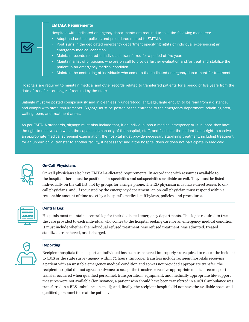# EMTALA Requirements

Hospitals with dedicated emergency departments are required to take the following measures:

- Adopt and enforce policies and procedures related to EMTALA
- Post signs in the dedicated emergency department specifying rights of individual experiencing an emergency medical condition
- Maintain records related to individuals transferred for a period of five years
- Maintain a list of physicians who are on call to provide further evaluation and/or treat and stabilize the patient in an emergency medical condition
- Maintain the central log of individuals who come to the dedicated emergency department for treatment

Hospitals are required to maintain medical and other records related to transferred patients for a period of five years from the date of transfer – or longer, if required by the state.

Signage must be posted conspicuously and in clear, easily understood language, large enough to be read from a distance, and comply with state requirements. Signage must be posted at the entrance to the emergency department, admitting area, waiting room, and treatment areas.

As per EMTALA standards, signage must also include that, if an individual has a medical emergency or is in labor, they have the right to receive care within the capabilities capacity of the hospital, staff, and facilities; the patient has a right to receive an appropriate medical screening examination; the hospital must provide necessary stabilizing treatment, including treatment for an unborn child; transfer to another facility, if necessary; and if the hospital does or does not participate in Medicaid.



## On-Call Physicians

On-call physicians also have EMTALA-dictated requirements. In accordance with resources available to the hospital, there must be positions for specialties and subspecialties available on call. They must be listed individually on the call list, not by groups for a single phone. The ED physician must have direct access to oncall physicians, and, if requested by the emergency department, an on-call physician must respond within a reasonable amount of time as set by a hospital's medical staff bylaws, policies, and procedures.



#### Central Log

Hospitals must maintain a central log for their dedicated emergency departments. This log is required to track the care provided to each individual who comes to the hospital seeking care for an emergency medical condition. It must include whether the individual refused treatment, was refused treatment, was admitted, treated, stabilized, transferred, or discharged.



### Reporting

Recipient hospitals that suspect an individual has been transferred improperly are required to report the incident to CMS or the state survey agency within 72 hours. Improper transfers include recipient hospitals receiving a patient with an unstable emergency medical condition and so was not provided appropriate transfer; the recipient hospital did not agree in advance to accept the transfer or receive appropriate medical records; or the transfer occurred when qualified personnel, transportation, equipment, and medically appropriate life-support measures were not available (for instance, a patient who should have been transferred in a ACLS ambulance was transferred in a BLS ambulance instead); and, finally, the recipient hospital did not have the available space and qualified personnel to treat the patient.